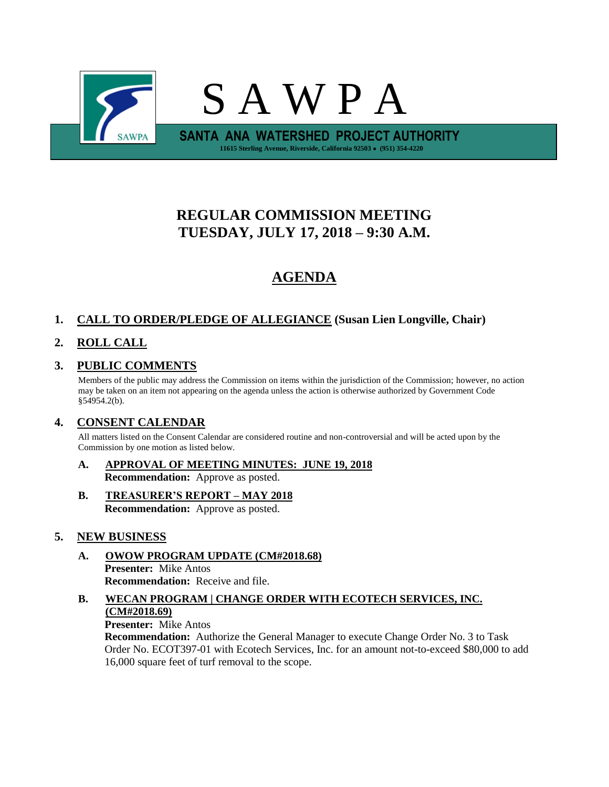

# **REGULAR COMMISSION MEETING TUESDAY, JULY 17, 2018 – 9:30 A.M.**

# **AGENDA**

# **1. CALL TO ORDER/PLEDGE OF ALLEGIANCE (Susan Lien Longville, Chair)**

# **2. ROLL CALL**

## **3. PUBLIC COMMENTS**

Members of the public may address the Commission on items within the jurisdiction of the Commission; however, no action may be taken on an item not appearing on the agenda unless the action is otherwise authorized by Government Code §54954.2(b).

## **4. CONSENT CALENDAR**

All matters listed on the Consent Calendar are considered routine and non-controversial and will be acted upon by the Commission by one motion as listed below.

**A. APPROVAL OF MEETING MINUTES: JUNE 19, 2018 Recommendation:** Approve as posted.

## **B. TREASURER'S REPORT – MAY 2018 Recommendation:** Approve as posted.

## **5. NEW BUSINESS**

- **A. OWOW PROGRAM UPDATE (CM#2018.68) Presenter:** Mike Antos **Recommendation:** Receive and file.
- **B. WECAN PROGRAM | CHANGE ORDER WITH ECOTECH SERVICES, INC. (CM#2018.69)**

#### **Presenter:** Mike Antos

**Recommendation:** Authorize the General Manager to execute Change Order No. 3 to Task Order No. ECOT397-01 with Ecotech Services, Inc. for an amount not-to-exceed \$80,000 to add 16,000 square feet of turf removal to the scope.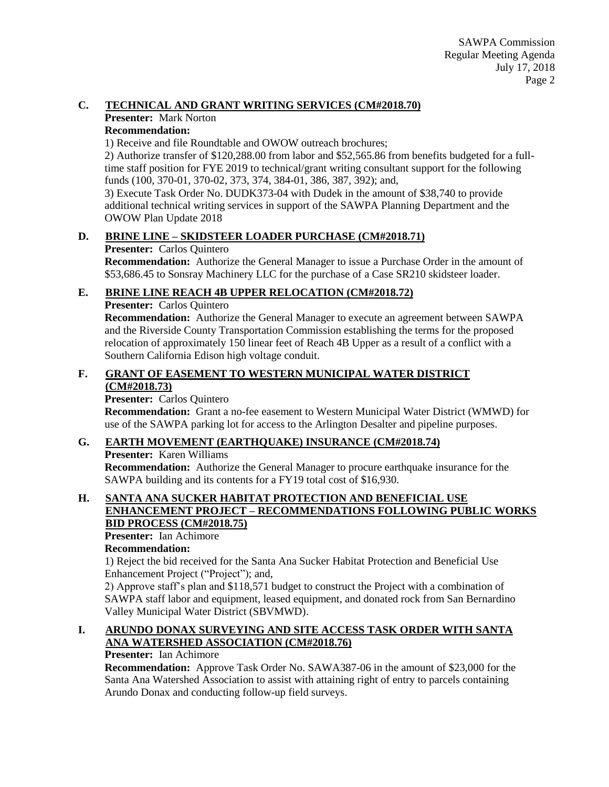## **C. TECHNICAL AND GRANT WRITING SERVICES (CM#2018.70)**

#### **Presenter:** Mark Norton **Recommendation:**

1) Receive and file Roundtable and OWOW outreach brochures;

2) Authorize transfer of \$120,288.00 from labor and \$52,565.86 from benefits budgeted for a fulltime staff position for FYE 2019 to technical/grant writing consultant support for the following funds (100, 370-01, 370-02, 373, 374, 384-01, 386, 387, 392); and,

3) Execute Task Order No. DUDK373-04 with Dudek in the amount of \$38,740 to provide additional technical writing services in support of the SAWPA Planning Department and the OWOW Plan Update 2018

## **D. BRINE LINE – SKIDSTEER LOADER PURCHASE (CM#2018.71)**

## **Presenter:** Carlos Quintero

**Recommendation:** Authorize the General Manager to issue a Purchase Order in the amount of \$53,686.45 to Sonsray Machinery LLC for the purchase of a Case SR210 skidsteer loader.

## **E. BRINE LINE REACH 4B UPPER RELOCATION (CM#2018.72)**

**Presenter:** Carlos Quintero

**Recommendation:** Authorize the General Manager to execute an agreement between SAWPA and the Riverside County Transportation Commission establishing the terms for the proposed relocation of approximately 150 linear feet of Reach 4B Upper as a result of a conflict with a Southern California Edison high voltage conduit.

## **F. GRANT OF EASEMENT TO WESTERN MUNICIPAL WATER DISTRICT (CM#2018.73)**

## **Presenter:** Carlos Quintero

**Recommendation:** Grant a no-fee easement to Western Municipal Water District (WMWD) for use of the SAWPA parking lot for access to the Arlington Desalter and pipeline purposes.

## **G. EARTH MOVEMENT (EARTHQUAKE) INSURANCE (CM#2018.74)**

#### **Presenter:** Karen Williams

**Recommendation:** Authorize the General Manager to procure earthquake insurance for the SAWPA building and its contents for a FY19 total cost of \$16,930.

#### **H. SANTA ANA SUCKER HABITAT PROTECTION AND BENEFICIAL USE ENHANCEMENT PROJECT – RECOMMENDATIONS FOLLOWING PUBLIC WORKS BID PROCESS (CM#2018.75)**

**Presenter:** Ian Achimore

## **Recommendation:**

1) Reject the bid received for the Santa Ana Sucker Habitat Protection and Beneficial Use Enhancement Project ("Project"); and,

2) Approve staff's plan and \$118,571 budget to construct the Project with a combination of SAWPA staff labor and equipment, leased equipment, and donated rock from San Bernardino Valley Municipal Water District (SBVMWD).

## **I. ARUNDO DONAX SURVEYING AND SITE ACCESS TASK ORDER WITH SANTA ANA WATERSHED ASSOCIATION (CM#2018.76)**

## **Presenter:** Ian Achimore

**Recommendation:** Approve Task Order No. SAWA387-06 in the amount of \$23,000 for the Santa Ana Watershed Association to assist with attaining right of entry to parcels containing Arundo Donax and conducting follow-up field surveys.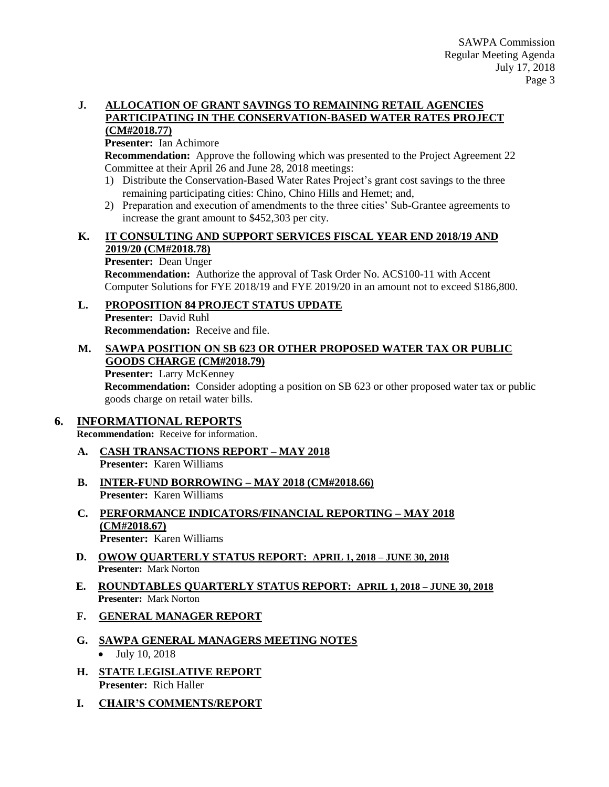## **J. ALLOCATION OF GRANT SAVINGS TO REMAINING RETAIL AGENCIES PARTICIPATING IN THE CONSERVATION-BASED WATER RATES PROJECT**

# **(CM#2018.77)**

**Presenter:** Ian Achimore

**Recommendation:** Approve the following which was presented to the Project Agreement 22 Committee at their April 26 and June 28, 2018 meetings:

- 1) Distribute the Conservation-Based Water Rates Project's grant cost savings to the three remaining participating cities: Chino, Chino Hills and Hemet; and,
- 2) Preparation and execution of amendments to the three cities' Sub-Grantee agreements to increase the grant amount to \$452,303 per city.

## **K. IT CONSULTING AND SUPPORT SERVICES FISCAL YEAR END 2018/19 AND 2019/20 (CM#2018.78)**

#### **Presenter:** Dean Unger

**Recommendation:** Authorize the approval of Task Order No. ACS100-11 with Accent Computer Solutions for FYE 2018/19 and FYE 2019/20 in an amount not to exceed \$186,800.

## **L. PROPOSITION 84 PROJECT STATUS UPDATE**

**Presenter:** David Ruhl **Recommendation:** Receive and file.

#### **M. SAWPA POSITION ON SB 623 OR OTHER PROPOSED WATER TAX OR PUBLIC GOODS CHARGE (CM#2018.79)**

**Presenter:** Larry McKenney

**Recommendation:** Consider adopting a position on SB 623 or other proposed water tax or public goods charge on retail water bills.

## **6. INFORMATIONAL REPORTS**

**Recommendation:** Receive for information.

- **A. CASH TRANSACTIONS REPORT – MAY 2018 Presenter:** Karen Williams
- **B. INTER-FUND BORROWING – MAY 2018 (CM#2018.66) Presenter:** Karen Williams
- **C. PERFORMANCE INDICATORS/FINANCIAL REPORTING – MAY 2018 (CM#2018.67) Presenter:** Karen Williams
- **D. OWOW QUARTERLY STATUS REPORT: APRIL 1, 2018 – JUNE 30, 2018 Presenter:** Mark Norton
- **E. ROUNDTABLES QUARTERLY STATUS REPORT: APRIL 1, 2018 – JUNE 30, 2018 Presenter:** Mark Norton
- **F. GENERAL MANAGER REPORT**
- **G. SAWPA GENERAL MANAGERS MEETING NOTES** • July 10, 2018
- **H. STATE LEGISLATIVE REPORT Presenter:** Rich Haller
- **I. CHAIR'S COMMENTS/REPORT**